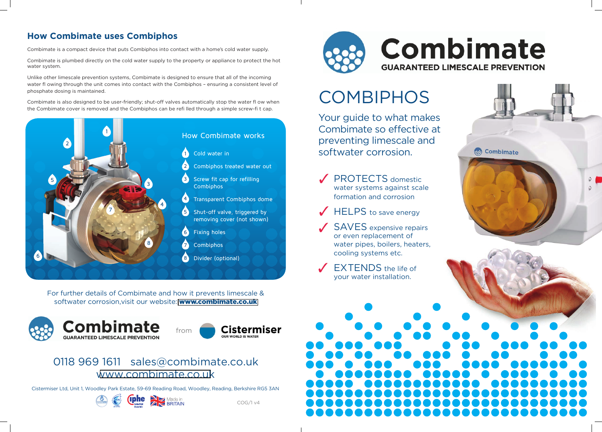### **How Combimate uses Combiphos**

Combimate is a compact device that puts Combiphos into contact with a home's cold water supply.

Combimate is plumbed directly on the cold water supply to the property or appliance to protect the hot water system.

Unlike other limescale prevention systems, Combimate is designed to ensure that all of the incoming water fl owing through the unit comes into contact with the Combiphos - ensuring a consistent level of phosphate dosing is maintained.

Combimate is also designed to be user-friendly; shut-off valves automatically stop the water fl ow when the Combimate cover is removed and the Combiphos can be refi lled through a simple screw-fi t cap.



For further details of Combimate and how it prevents limescale & softwater corrosion visit our website: www.combimate.co.uk





### 0118 969 1611 sales@combimate.co.uk www.combimate.co.uk

Cistermiser Ltd, Unit 1, Woodley Park Estate, 59-69 Reading Road, Woodley, Reading, Berkshire RG5 3AN







- **PROTECTS** domestic water systems against scale formation and corrosion
- $\sqrt{\phantom{a}}$  HELPS to save energy
- or even replacement of water pipes, boilers, heaters, cooling systems etc.
- **EXTENDS** the life of vour water installation.